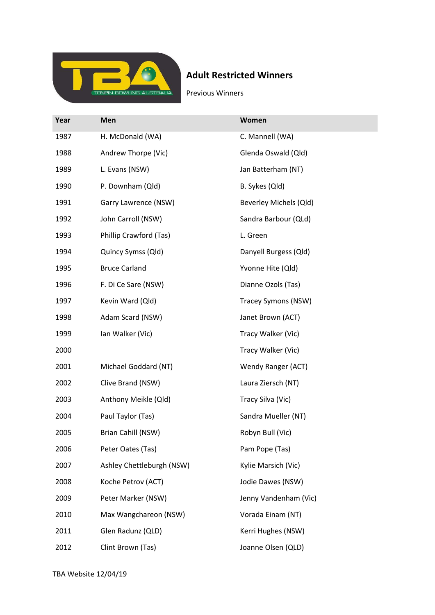

## Adult Restricted Winners

Previous Winners

| Year | Men                       | <b>Women</b>           |
|------|---------------------------|------------------------|
| 1987 | H. McDonald (WA)          | C. Mannell (WA)        |
| 1988 | Andrew Thorpe (Vic)       | Glenda Oswald (Qld)    |
| 1989 | L. Evans (NSW)            | Jan Batterham (NT)     |
| 1990 | P. Downham (Qld)          | B. Sykes (Qld)         |
| 1991 | Garry Lawrence (NSW)      | Beverley Michels (Qld) |
| 1992 | John Carroll (NSW)        | Sandra Barbour (QLd)   |
| 1993 | Phillip Crawford (Tas)    | L. Green               |
| 1994 | Quincy Symss (Qld)        | Danyell Burgess (Qld)  |
| 1995 | <b>Bruce Carland</b>      | Yvonne Hite (Qld)      |
| 1996 | F. Di Ce Sare (NSW)       | Dianne Ozols (Tas)     |
| 1997 | Kevin Ward (Qld)          | Tracey Symons (NSW)    |
| 1998 | Adam Scard (NSW)          | Janet Brown (ACT)      |
| 1999 | Ian Walker (Vic)          | Tracy Walker (Vic)     |
| 2000 |                           | Tracy Walker (Vic)     |
| 2001 | Michael Goddard (NT)      | Wendy Ranger (ACT)     |
| 2002 | Clive Brand (NSW)         | Laura Ziersch (NT)     |
| 2003 | Anthony Meikle (Qld)      | Tracy Silva (Vic)      |
| 2004 | Paul Taylor (Tas)         | Sandra Mueller (NT)    |
| 2005 | Brian Cahill (NSW)        | Robyn Bull (Vic)       |
| 2006 | Peter Oates (Tas)         | Pam Pope (Tas)         |
| 2007 | Ashley Chettleburgh (NSW) | Kylie Marsich (Vic)    |
| 2008 | Koche Petrov (ACT)        | Jodie Dawes (NSW)      |
| 2009 | Peter Marker (NSW)        | Jenny Vandenham (Vic)  |
| 2010 | Max Wangchareon (NSW)     | Vorada Einam (NT)      |
| 2011 | Glen Radunz (QLD)         | Kerri Hughes (NSW)     |
| 2012 | Clint Brown (Tas)         | Joanne Olsen (QLD)     |